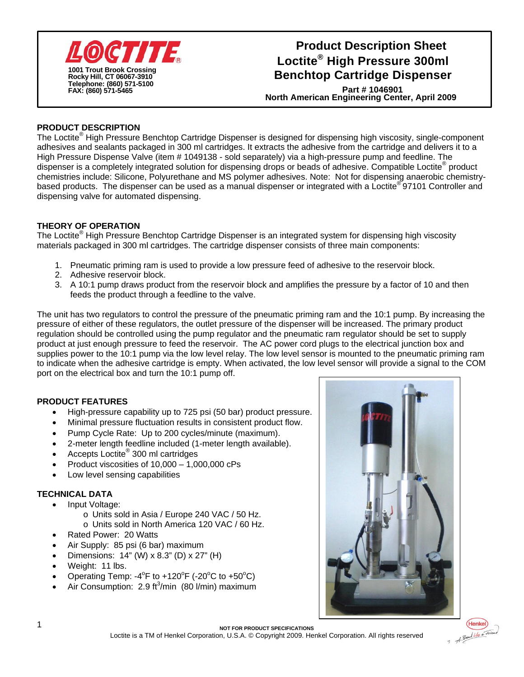

# **Loctite® High Pressure 300ml Benchtop Cartridge Dispenser Product Description Sheet**

**North American Engineering Center, April 2009 Part # 1046901**

### **PRODUCT DESCRIPTION**

The Loctite<sup>®</sup> High Pressure Benchtop Cartridge Dispenser is designed for dispensing high viscosity, single-component adhesives and sealants packaged in 300 ml cartridges. It extracts the adhesive from the cartridge and delivers it to a High Pressure Dispense Valve (item # 1049138 - sold separately) via a high-pressure pump and feedline. The dispenser is a completely integrated solution for dispensing drops or beads of adhesive. Compatible Loctite<sup>®</sup> product chemistries include: Silicone, Polyurethane and MS polymer adhesives. Note: Not for dispensing anaerobic chemistrybased products. The dispenser can be used as a manual dispenser or integrated with a Loctite® 97101 Controller and dispensing valve for automated dispensing.

#### **THEORY OF OPERATION**

The Loctite® High Pressure Benchtop Cartridge Dispenser is an integrated system for dispensing high viscosity materials packaged in 300 ml cartridges. The cartridge dispenser consists of three main components:

- 1. Pneumatic priming ram is used to provide a low pressure feed of adhesive to the reservoir block.
- 2. Adhesive reservoir block.
- 3. A 10:1 pump draws product from the reservoir block and amplifies the pressure by a factor of 10 and then feeds the product through a feedline to the valve.

The unit has two regulators to control the pressure of the pneumatic priming ram and the 10:1 pump. By increasing the pressure of either of these regulators, the outlet pressure of the dispenser will be increased. The primary product regulation should be controlled using the pump regulator and the pneumatic ram regulator should be set to supply product at just enough pressure to feed the reservoir. The AC power cord plugs to the electrical junction box and supplies power to the 10:1 pump via the low level relay. The low level sensor is mounted to the pneumatic priming ram to indicate when the adhesive cartridge is empty. When activated, the low level sensor will provide a signal to the COM port on the electrical box and turn the 10:1 pump off.

#### **PRODUCT FEATURES**

- High-pressure capability up to 725 psi (50 bar) product pressure.
- Minimal pressure fluctuation results in consistent product flow.
- Pump Cycle Rate: Up to 200 cycles/minute (maximum).
- 2-meter length feedline included (1-meter length available).
- Accepts Loctite<sup>®</sup> 300 ml cartridges
- Product viscosities of  $10,000 1,000,000$  cPs
- Low level sensing capabilities

#### **TECHNICAL DATA**

- Input Voltage:
	- o Units sold in Asia / Europe 240 VAC / 50 Hz.
	- o Units sold in North America 120 VAC / 60 Hz.
- Rated Power: 20 Watts
- Air Supply: 85 psi (6 bar) maximum
- Dimensions:  $14$ " (W) x 8.3" (D) x 27" (H)
- Weight: 11 lbs.
- Operating Temp:  $-4^\circ$ F to  $+120^\circ$ F ( $-20^\circ$ C to  $+50^\circ$ C)
- Air Consumption:  $2.9 \text{ ft}^3/\text{min}$  (80  $\text{l/min}$ ) maximum





1